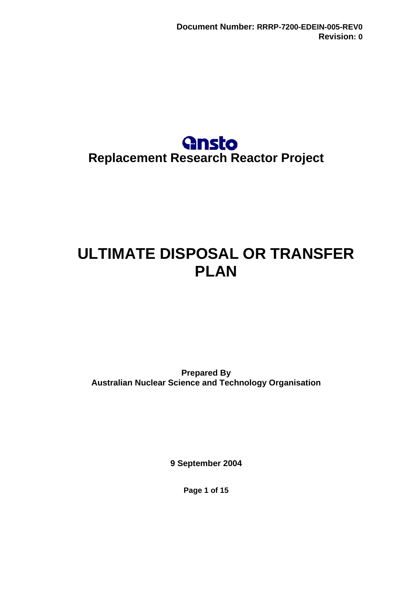## **Gnsto Replacement Research Reactor Project**

# <span id="page-0-0"></span>**ULTIMATE DISPOSAL OR TRANSFER PLAN**

**Prepared By Australian Nuclear Science and Technology Organisation** 

**9 September 2004** 

**Page 1 of 15**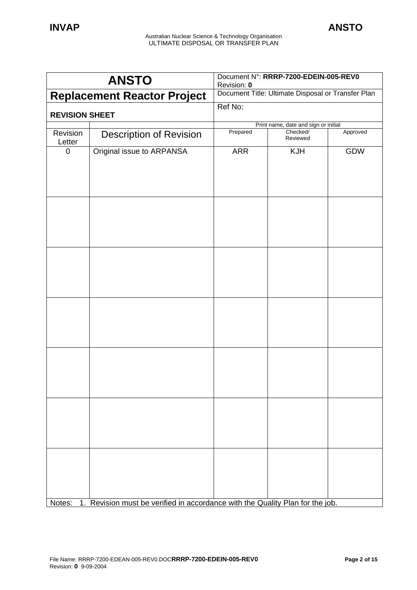| <b>ANSTO</b>                       |                                                                               | Document N°: RRRP-7200-EDEIN-005-REV0<br>Revision: 0 |                      |            |
|------------------------------------|-------------------------------------------------------------------------------|------------------------------------------------------|----------------------|------------|
| <b>Replacement Reactor Project</b> |                                                                               | Document Title: Ultimate Disposal or Transfer Plan   |                      |            |
| <b>REVISION SHEET</b>              |                                                                               | Ref No:                                              |                      |            |
|                                    |                                                                               | Print name, date and sign or initial                 |                      |            |
| Revision<br>Letter                 | <b>Description of Revision</b>                                                | Prepared                                             | Checked/<br>Reviewed | Approved   |
| $\mathbf 0$                        | Original issue to ARPANSA                                                     | <b>ARR</b>                                           | KJH                  | <b>GDW</b> |
|                                    |                                                                               |                                                      |                      |            |
|                                    |                                                                               |                                                      |                      |            |
|                                    |                                                                               |                                                      |                      |            |
|                                    |                                                                               |                                                      |                      |            |
|                                    |                                                                               |                                                      |                      |            |
| Notes:                             | 1. Revision must be verified in accordance with the Quality Plan for the job. |                                                      |                      |            |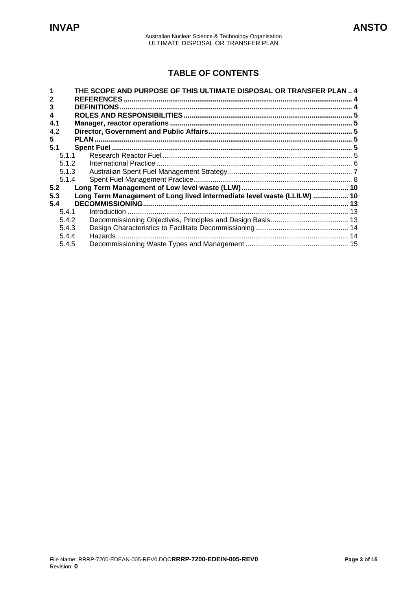## **TABLE OF CONTENTS**

|       | THE SCOPE AND PURPOSE OF THIS ULTIMATE DISPOSAL OR TRANSFER PLAN  4     |  |
|-------|-------------------------------------------------------------------------|--|
|       | <b>REFERENCES</b>                                                       |  |
| 3     | <b>DEFINITIONS</b>                                                      |  |
| 4     |                                                                         |  |
| 4.1   |                                                                         |  |
| 4.2   |                                                                         |  |
| 5     |                                                                         |  |
| 5.1   |                                                                         |  |
| 5.1.1 |                                                                         |  |
| 5.1.2 |                                                                         |  |
| 5.1.3 |                                                                         |  |
| 5.1.4 |                                                                         |  |
| 5.2   |                                                                         |  |
| 5.3   | Long Term Management of Long lived intermediate level waste (LLILW)  10 |  |
| 5.4   |                                                                         |  |
| 5.4.1 |                                                                         |  |
| 5.4.2 |                                                                         |  |
| 5.4.3 |                                                                         |  |
| 5.4.4 |                                                                         |  |
| 5.4.5 |                                                                         |  |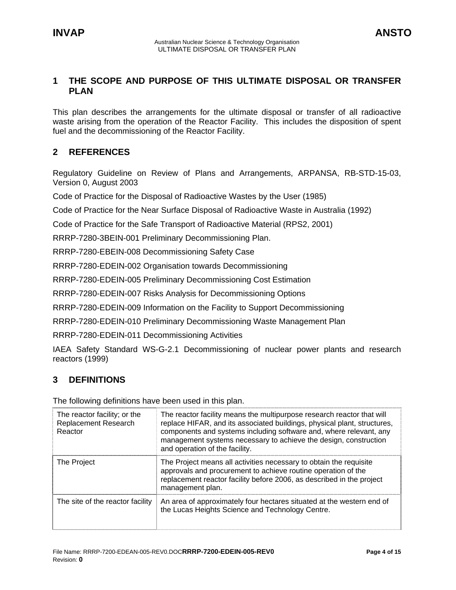## <span id="page-3-0"></span>**1 THE SCOPE AND PURPOSE OF THIS ULTIMATE DISPOSAL OR TRANSFER PLAN**

This plan describes the arrangements for the ultimate disposal or transfer of all radioactive waste arising from the operation of the Reactor Facility. This includes the disposition of spent fuel and the decommissioning of the Reactor Facility.

## **2 REFERENCES**

Regulatory Guideline on Review of Plans and Arrangements, ARPANSA, RB-STD-15-03, Version 0, August 2003

Code of Practice for the Disposal of Radioactive Wastes by the User (1985)

Code of Practice for the Near Surface Disposal of Radioactive Waste in Australia (1992)

Code of Practice for the Safe Transport of Radioactive Material (RPS2, 2001)

RRRP-7280-3BEIN-001 Preliminary Decommissioning Plan.

RRRP-7280-EBEIN-008 Decommissioning Safety Case

RRRP-7280-EDEIN-002 Organisation towards Decommissioning

RRRP-7280-EDEIN-005 Preliminary Decommissioning Cost Estimation

RRRP-7280-EDEIN-007 Risks Analysis for Decommissioning Options

RRRP-7280-EDEIN-009 Information on the Facility to Support Decommissioning

RRRP-7280-EDEIN-010 Preliminary Decommissioning Waste Management Plan

RRRP-7280-EDEIN-011 Decommissioning Activities

IAEA Safety Standard WS-G-2.1 Decommissioning of nuclear power plants and research reactors (1999)

## **3 DEFINITIONS**

The following definitions have been used in this plan.

| The reactor facility; or the<br>Replacement Research<br>Reactor | The reactor facility means the multipurpose research reactor that will<br>replace HIFAR, and its associated buildings, physical plant, structures,<br>components and systems including software and, where relevant, any<br>management systems necessary to achieve the design, construction<br>and operation of the facility. |
|-----------------------------------------------------------------|--------------------------------------------------------------------------------------------------------------------------------------------------------------------------------------------------------------------------------------------------------------------------------------------------------------------------------|
| The Project                                                     | The Project means all activities necessary to obtain the requisite<br>approvals and procurement to achieve routine operation of the<br>replacement reactor facility before 2006, as described in the project<br>management plan.                                                                                               |
| The site of the reactor facility                                | An area of approximately four hectares situated at the western end of<br>the Lucas Heights Science and Technology Centre.                                                                                                                                                                                                      |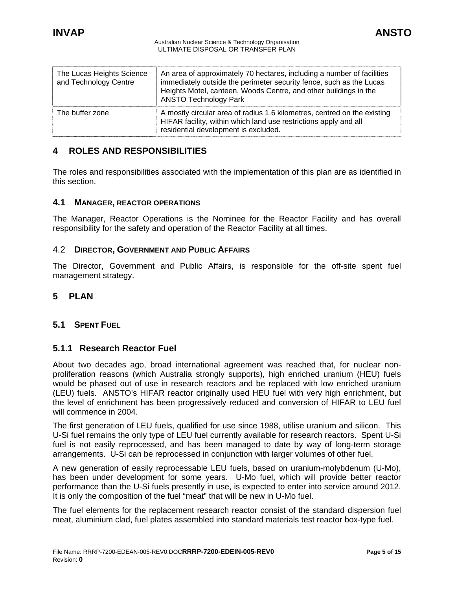<span id="page-4-0"></span>

| The Lucas Heights Science<br>and Technology Centre | An area of approximately 70 hectares, including a number of facilities<br>immediately outside the perimeter security fence, such as the Lucas<br>Heights Motel, canteen, Woods Centre, and other buildings in the<br><b>ANSTO Technology Park</b> |
|----------------------------------------------------|---------------------------------------------------------------------------------------------------------------------------------------------------------------------------------------------------------------------------------------------------|
| The buffer zone                                    | A mostly circular area of radius 1.6 kilometres, centred on the existing<br>HIFAR facility, within which land use restrictions apply and all<br>residential development is excluded.                                                              |

## **4 ROLES AND RESPONSIBILITIES**

The roles and responsibilities associated with the implementation of this plan are as identified in this section.

## **4.1 MANAGER, REACTOR OPERATIONS**

The Manager, Reactor Operations is the Nominee for the Reactor Facility and has overall responsibility for the safety and operation of the Reactor Facility at all times.

## 4.2 **DIRECTOR, GOVERNMENT AND PUBLIC AFFAIRS**

The Director, Government and Public Affairs, is responsible for the off-site spent fuel management strategy.

## **5 PLAN**

## **5.1 SPENT FUEL**

## **5.1.1 Research Reactor Fuel**

About two decades ago, broad international agreement was reached that, for nuclear nonproliferation reasons (which Australia strongly supports), high enriched uranium (HEU) fuels would be phased out of use in research reactors and be replaced with low enriched uranium (LEU) fuels. ANSTO's HIFAR reactor originally used HEU fuel with very high enrichment, but the level of enrichment has been progressively reduced and conversion of HIFAR to LEU fuel will commence in 2004.

The first generation of LEU fuels, qualified for use since 1988, utilise uranium and silicon. This U-Si fuel remains the only type of LEU fuel currently available for research reactors. Spent U-Si fuel is not easily reprocessed, and has been managed to date by way of long-term storage arrangements. U-Si can be reprocessed in conjunction with larger volumes of other fuel.

A new generation of easily reprocessable LEU fuels, based on uranium-molybdenum (U-Mo), has been under development for some years. U-Mo fuel, which will provide better reactor performance than the U-Si fuels presently in use, is expected to enter into service around 2012. It is only the composition of the fuel "meat" that will be new in U-Mo fuel.

The fuel elements for the replacement research reactor consist of the standard dispersion fuel meat, aluminium clad, fuel plates assembled into standard materials test reactor box-type fuel.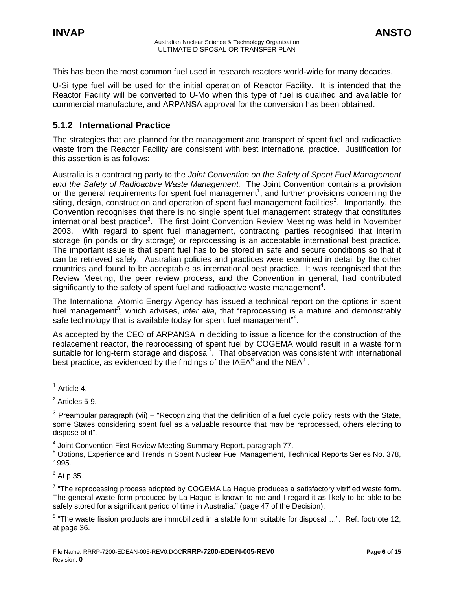<span id="page-5-0"></span>This has been the most common fuel used in research reactors world-wide for many decades.

U-Si type fuel will be used for the initial operation of Reactor Facility. It is intended that the Reactor Facility will be converted to U-Mo when this type of fuel is qualified and available for commercial manufacture, and ARPANSA approval for the conversion has been obtained.

## **5.1.2 International Practice**

The strategies that are planned for the management and transport of spent fuel and radioactive waste from the Reactor Facility are consistent with best international practice. Justification for this assertion is as follows:

Australia is a contracting party to the *Joint Convention on the Safety of Spent Fuel Management and the Safety of Radioactive Waste Management.* The Joint Convention contains a provision on the general requirements for spent fuel management<sup>1</sup>, and further provisions concerning the siting, design, construction and operation of spent fuel management facilities<sup>2</sup>. Importantly, the Convention recognises that there is no single spent fuel management strategy that constitutes international best practice<sup>3</sup>[.](#page-5-3) The first Joint Convention Review Meeting was held in November 2003. With regard to spent fuel management, contracting parties recognised that interim storage (in ponds or dry storage) or reprocessing is an acceptable international best practice. The important issue is that spent fuel has to be stored in safe and secure conditions so that it can be retrieved safely. Australian policies and practices were examined in detail by the other countries and found to be acceptable as international best practice. It was recognised that the Review Meeting, the peer review process, and the Convention in general, had contributed significantly to the safety of spent fuel and radioactive waste management<sup>[4](#page-5-4)</sup>.

The International Atomic Energy Agency has issued a technical report on the options in spent fuel management<sup>5</sup>[,](#page-5-5) which advises, *inter alia*, that "reprocessing is a mature and demonstrably safe technology that is available today for spent fuel management"<sup>6</sup>[.](#page-5-6)

<span id="page-5-9"></span>As accepted by the CEO of ARPANSA in deciding to issue a licence for the construction of the replacement reactor, the reprocessing of spent fuel by COGEMA would result in a waste form suitable for long-term storage and disposal<sup>7</sup>. That observation was consistent with international bestpractice, as evidenced by the findings of the IAEA $^8$  and the NEA $^9$ .

<span id="page-5-1"></span> $<sup>1</sup>$  Article 4.</sup>

<span id="page-5-4"></span><sup>4</sup> Joint Convention First Review Meeting Summary Report, paragraph 77.

<span id="page-5-5"></span><sup>5</sup> Options, Experience and Trends in Spent Nuclear Fuel Management, Technical Reports Series No. 378, 1995.

<span id="page-5-6"></span> $^6$  At p 35.

<span id="page-5-7"></span> $7$  "The reprocessing process adopted by COGEMA La Hague produces a satisfactory vitrified waste form. The general waste form produced by La Hague is known to me and I regard it as likely to be able to be safely stored for a significant period of time in Australia." (page 47 of the Decision).

<span id="page-5-8"></span> $8$  "The waste fission products are immobilized in a stable form suitable for disposal ...". Ref. footnote 12, at page 36.

<span id="page-5-2"></span> $2$  Articles 5-9.

<span id="page-5-3"></span> $3$  Preambular paragraph (vii) – "Recognizing that the definition of a fuel cycle policy rests with the State, some States considering spent fuel as a valuable resource that may be reprocessed, others electing to dispose of it".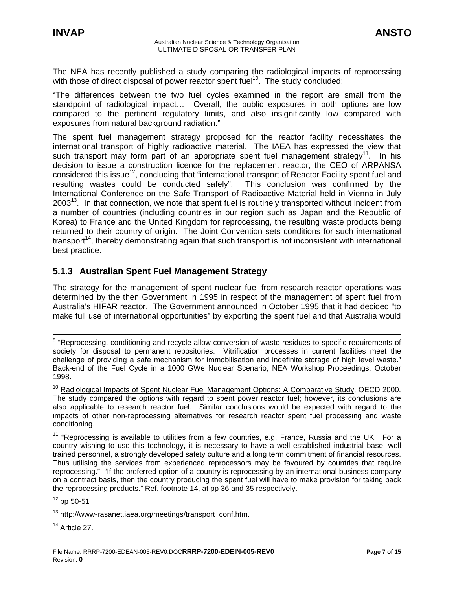<span id="page-6-0"></span>The NEA has recently published a study comparing the radiological impacts of reprocessing with those of direct disposal of power reactor spent fuel<sup>10</sup>. The study concluded:

"The differences between the two fuel cycles examined in the report are small from the standpoint of radiological impact… Overall, the public exposures in both options are low compared to the pertinent regulatory limits, and also insignificantly low compared with exposures from natural background radiation."

The spent fuel management strategy proposed for the reactor facility necessitates the international transport of highly radioactive material. The IAEA has expressed the view that such transport may form part of an appropriate spent fuel management strategy<sup>11</sup>. In his decision to issue a construction licence for the replacement reactor, the CEO of ARPANSA considered this issue<sup>12</sup>, concluding that "international transport of Reactor Facility spent fuel and resulting wastes could be conducted safely". This conclusion was confirmed by the resulting wastes could be conducted safely". International Conference on the Safe Transport of Radioactive Material held in Vienna in July  $2003<sup>13</sup>$ . In that connection, we note that spent fuel is routinely transported without incident from a number of countries (including countries in our region such as Japan and the Republic of Korea) to France and the United Kingdom for reprocessing, the resulting waste products being returned to their country of origin. The Joint Convention sets conditions for such international transport<sup>14</sup>, thereby demonstrating again that such transport is not inconsistent with international best practice.

## **5.1.3 Australian Spent Fuel Management Strategy**

The strategy for the management of spent nuclear fuel from research reactor operations was determined by the then Government in 1995 in respect of the management of spent fuel from Australia's HIFAR reactor. The Government announced in October 1995 that it had decided "to make full use of international opportunities" by exporting the spent fuel and that Australia would

<span id="page-6-3"></span> $12$  pp 50-51

<span id="page-6-5"></span><sup>14</sup> Article 27.

end on the processing, conditioning and recycle allow conversion of waste residues to specific requirements of<br><sup>9</sup> "Reprocessing, conditioning and recycle allow conversion of waste residues to specific requirements of society for disposal to permanent repositories. Vitrification processes in current facilities meet the challenge of providing a safe mechanism for immobilisation and indefinite storage of high level waste." Back-end of the Fuel Cycle in a 1000 GWe Nuclear Scenario, NEA Workshop Proceedings, October 1998.

<span id="page-6-1"></span><sup>&</sup>lt;sup>10</sup> Radiological Impacts of Spent Nuclear Fuel Management Options: A Comparative Study, OECD 2000. The study compared the options with regard to spent power reactor fuel; however, its conclusions are also applicable to research reactor fuel. Similar conclusions would be expected with regard to the impacts of other non-reprocessing alternatives for research reactor spent fuel processing and waste conditioning.

<span id="page-6-2"></span> $11$  "Reprocessing is available to utilities from a few countries, e.g. France, Russia and the UK. For a country wishing to use this technology, it is necessary to have a well established industrial base, well trained personnel, a strongly developed safety culture and a long term commitment of financial resources. Thus utilising the services from experienced reprocessors may be favoured by countries that require reprocessing." "If the preferred option of a country is reprocessing by an international business company on a contract basis, then the country producing the spent fuel will have to make provision for taking back the reprocessing products." Ref. footnote 14, at pp 36 and 35 respectively.

<span id="page-6-4"></span><sup>&</sup>lt;sup>13</sup> http://www-rasanet.iaea.org/meetings/transport\_conf.htm.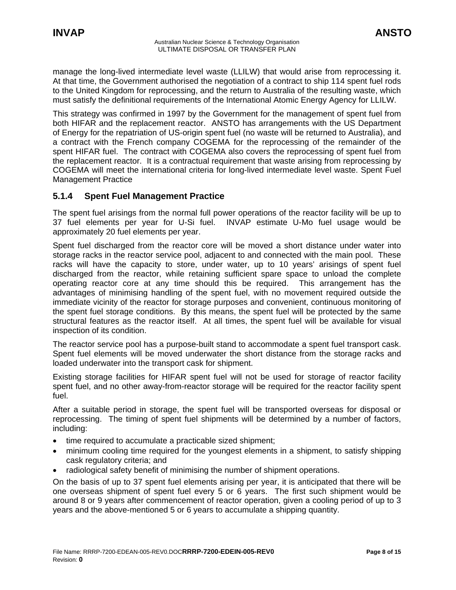<span id="page-7-0"></span>manage the long-lived intermediate level waste (LLILW) that would arise from reprocessing it. At that time, the Government authorised the negotiation of a contract to ship 114 spent fuel rods to the United Kingdom for reprocessing, and the return to Australia of the resulting waste, which must satisfy the definitional requirements of the International Atomic Energy Agency for LLILW.

This strategy was confirmed in 1997 by the Government for the management of spent fuel from both HIFAR and the replacement reactor. ANSTO has arrangements with the US Department of Energy for the repatriation of US-origin spent fuel (no waste will be returned to Australia), and a contract with the French company COGEMA for the reprocessing of the remainder of the spent HIFAR fuel. The contract with COGEMA also covers the reprocessing of spent fuel from the replacement reactor. It is a contractual requirement that waste arising from reprocessing by COGEMA will meet the international criteria for long-lived intermediate level waste. Spent Fuel Management Practice

## **5.1.4 Spent Fuel Management Practice**

The spent fuel arisings from the normal full power operations of the reactor facility will be up to 37 fuel elements per year for U-Si fuel. INVAP estimate U-Mo fuel usage would be approximately 20 fuel elements per year.

Spent fuel discharged from the reactor core will be moved a short distance under water into storage racks in the reactor service pool, adjacent to and connected with the main pool. These racks will have the capacity to store, under water, up to 10 years' arisings of spent fuel discharged from the reactor, while retaining sufficient spare space to unload the complete operating reactor core at any time should this be required. This arrangement has the advantages of minimising handling of the spent fuel, with no movement required outside the immediate vicinity of the reactor for storage purposes and convenient, continuous monitoring of the spent fuel storage conditions. By this means, the spent fuel will be protected by the same structural features as the reactor itself. At all times, the spent fuel will be available for visual inspection of its condition.

The reactor service pool has a purpose-built stand to accommodate a spent fuel transport cask. Spent fuel elements will be moved underwater the short distance from the storage racks and loaded underwater into the transport cask for shipment.

Existing storage facilities for HIFAR spent fuel will not be used for storage of reactor facility spent fuel, and no other away-from-reactor storage will be required for the reactor facility spent fuel.

After a suitable period in storage, the spent fuel will be transported overseas for disposal or reprocessing. The timing of spent fuel shipments will be determined by a number of factors, including:

- time required to accumulate a practicable sized shipment;
- minimum cooling time required for the youngest elements in a shipment, to satisfy shipping cask regulatory criteria; and
- radiological safety benefit of minimising the number of shipment operations.

On the basis of up to 37 spent fuel elements arising per year, it is anticipated that there will be one overseas shipment of spent fuel every 5 or 6 years. The first such shipment would be around 8 or 9 years after commencement of reactor operation, given a cooling period of up to 3 years and the above-mentioned 5 or 6 years to accumulate a shipping quantity.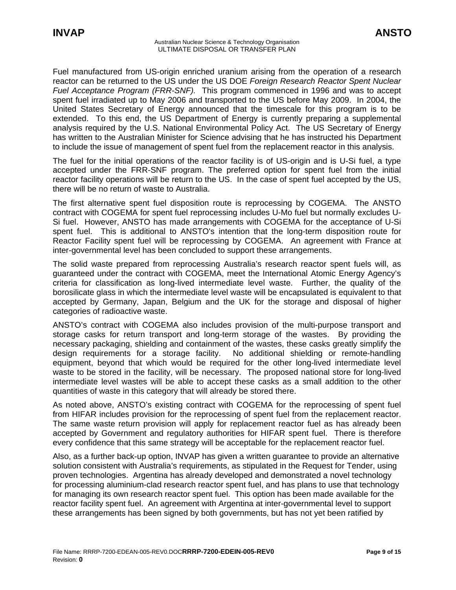Fuel manufactured from US-origin enriched uranium arising from the operation of a research reactor can be returned to the US under the US DOE *Foreign Research Reactor Spent Nuclear Fuel Acceptance Program (FRR-SNF).* This program commenced in 1996 and was to accept spent fuel irradiated up to May 2006 and transported to the US before May 2009. In 2004, the United States Secretary of Energy announced that the timescale for this program is to be extended. To this end, the US Department of Energy is currently preparing a supplemental analysis required by the U.S. National Environmental Policy Act. The US Secretary of Energy has written to the Australian Minister for Science advising that he has instructed his Department to include the issue of management of spent fuel from the replacement reactor in this analysis.

The fuel for the initial operations of the reactor facility is of US-origin and is U-Si fuel, a type accepted under the FRR-SNF program. The preferred option for spent fuel from the initial reactor facility operations will be return to the US. In the case of spent fuel accepted by the US, there will be no return of waste to Australia.

The first alternative spent fuel disposition route is reprocessing by COGEMA. The ANSTO contract with COGEMA for spent fuel reprocessing includes U-Mo fuel but normally excludes U-Si fuel. However, ANSTO has made arrangements with COGEMA for the acceptance of U-Si spent fuel. This is additional to ANSTO's intention that the long-term disposition route for Reactor Facility spent fuel will be reprocessing by COGEMA. An agreement with France at inter-governmental level has been concluded to support these arrangements.

The solid waste prepared from reprocessing Australia's research reactor spent fuels will, as guaranteed under the contract with COGEMA, meet the International Atomic Energy Agency's criteria for classification as long-lived intermediate level waste. Further, the quality of the borosilicate glass in which the intermediate level waste will be encapsulated is equivalent to that accepted by Germany, Japan, Belgium and the UK for the storage and disposal of higher categories of radioactive waste.

ANSTO's contract with COGEMA also includes provision of the multi-purpose transport and storage casks for return transport and long-term storage of the wastes. By providing the necessary packaging, shielding and containment of the wastes, these casks greatly simplify the design requirements for a storage facility. No additional shielding or remote-handling equipment, beyond that which would be required for the other long-lived intermediate level waste to be stored in the facility, will be necessary. The proposed national store for long-lived intermediate level wastes will be able to accept these casks as a small addition to the other quantities of waste in this category that will already be stored there.

As noted above, ANSTO's existing contract with COGEMA for the reprocessing of spent fuel from HIFAR includes provision for the reprocessing of spent fuel from the replacement reactor. The same waste return provision will apply for replacement reactor fuel as has already been accepted by Government and regulatory authorities for HIFAR spent fuel. There is therefore every confidence that this same strategy will be acceptable for the replacement reactor fuel.

Also, as a further back-up option, INVAP has given a written guarantee to provide an alternative solution consistent with Australia's requirements, as stipulated in the Request for Tender, using proven technologies. Argentina has already developed and demonstrated a novel technology for processing aluminium-clad research reactor spent fuel, and has plans to use that technology for managing its own research reactor spent fuel. This option has been made available for the reactor facility spent fuel. An agreement with Argentina at inter-governmental level to support these arrangements has been signed by both governments, but has not yet been ratified by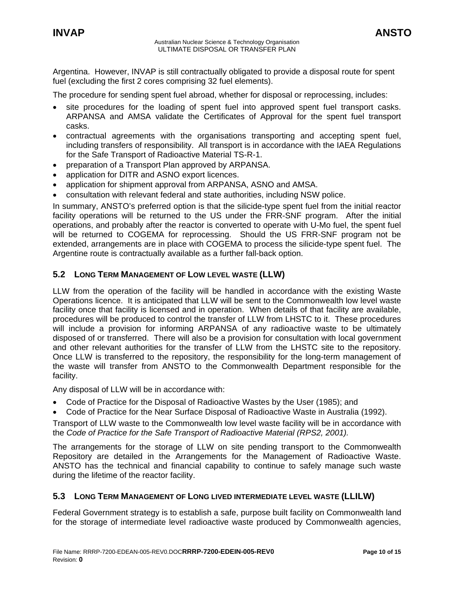<span id="page-9-0"></span>Argentina. However, INVAP is still contractually obligated to provide a disposal route for spent fuel (excluding the first 2 cores comprising 32 fuel elements).

The procedure for sending spent fuel abroad, whether for disposal or reprocessing, includes:

- site procedures for the loading of spent fuel into approved spent fuel transport casks. ARPANSA and AMSA validate the Certificates of Approval for the spent fuel transport casks.
- contractual agreements with the organisations transporting and accepting spent fuel, including transfers of responsibility. All transport is in accordance with the IAEA Regulations for the Safe Transport of Radioactive Material TS-R-1.
- preparation of a Transport Plan approved by ARPANSA.
- application for DITR and ASNO export licences.
- application for shipment approval from ARPANSA, ASNO and AMSA.
- consultation with relevant federal and state authorities, including NSW police.

In summary, ANSTO's preferred option is that the silicide-type spent fuel from the initial reactor facility operations will be returned to the US under the FRR-SNF program. After the initial operations, and probably after the reactor is converted to operate with U-Mo fuel, the spent fuel will be returned to COGEMA for reprocessing. Should the US FRR-SNF program not be extended, arrangements are in place with COGEMA to process the silicide-type spent fuel. The Argentine route is contractually available as a further fall-back option.

## **5.2 LONG TERM MANAGEMENT OF LOW LEVEL WASTE (LLW)**

LLW from the operation of the facility will be handled in accordance with the existing Waste Operations licence. It is anticipated that LLW will be sent to the Commonwealth low level waste facility once that facility is licensed and in operation. When details of that facility are available, procedures will be produced to control the transfer of LLW from LHSTC to it. These procedures will include a provision for informing ARPANSA of any radioactive waste to be ultimately disposed of or transferred. There will also be a provision for consultation with local government and other relevant authorities for the transfer of LLW from the LHSTC site to the repository. Once LLW is transferred to the repository, the responsibility for the long-term management of the waste will transfer from ANSTO to the Commonwealth Department responsible for the facility.

Any disposal of LLW will be in accordance with:

- Code of Practice for the Disposal of Radioactive Wastes by the User (1985); and
- Code of Practice for the Near Surface Disposal of Radioactive Waste in Australia (1992).

Transport of LLW waste to the Commonwealth low level waste facility will be in accordance with the *Code of Practice for the Safe Transport of Radioactive Material (RPS2, 2001).*

The arrangements for the storage of LLW on site pending transport to the Commonwealth Repository are detailed in the Arrangements for the Management of Radioactive Waste. ANSTO has the technical and financial capability to continue to safely manage such waste during the lifetime of the reactor facility.

## **5.3 LONG TERM MANAGEMENT OF LONG LIVED INTERMEDIATE LEVEL WASTE (LLILW)**

Federal Government strategy is to establish a safe, purpose built facility on Commonwealth land for the storage of intermediate level radioactive waste produced by Commonwealth agencies,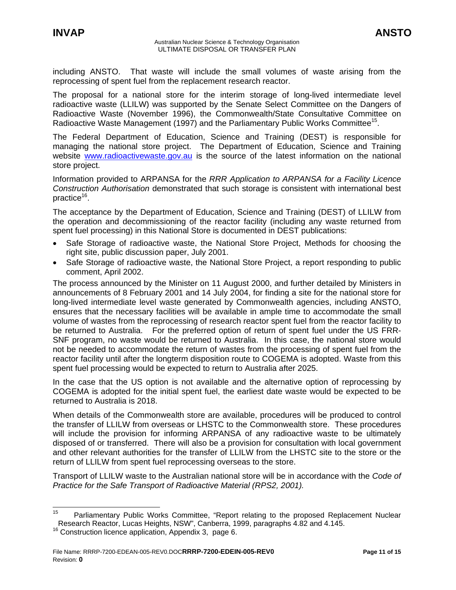including ANSTO. That waste will include the small volumes of waste arising from the reprocessing of spent fuel from the replacement research reactor.

The proposal for a national store for the interim storage of long-lived intermediate level radioactive waste (LLILW) was supported by the Senate Select Committee on the Dangers of Radioactive Waste (November 1996), the Commonwealth/State Consultative Committee on Radioactive Waste Management (1997) and the Parliamentary Public Works Committee<sup>15</sup>.

The Federal Department of Education, Science and Training (DEST) is responsible for managing the national store project. The Department of Education, Science and Training website [www.radioactivewaste.gov.au](http://www.radioactivewaste.gov.au/) is the source of the latest information on the national store project.

Information provided to ARPANSA for the *RRR Application to ARPANSA for a Facility Licence Construction Authorisation* demonstrated that such storage is consistent with international best practice $16$ .

The acceptance by the Department of Education, Science and Training (DEST) of LLILW from the operation and decommissioning of the reactor facility (including any waste returned from spent fuel processing) in this National Store is documented in DEST publications:

- Safe Storage of radioactive waste, the National Store Project, Methods for choosing the right site, public discussion paper, July 2001.
- Safe Storage of radioactive waste, the National Store Project, a report responding to public comment, April 2002.

The process announced by the Minister on 11 August 2000, and further detailed by Ministers in announcements of 8 February 2001 and 14 July 2004, for finding a site for the national store for long-lived intermediate level waste generated by Commonwealth agencies, including ANSTO, ensures that the necessary facilities will be available in ample time to accommodate the small volume of wastes from the reprocessing of research reactor spent fuel from the reactor facility to be returned to Australia. For the preferred option of return of spent fuel under the US FRR-SNF program, no waste would be returned to Australia. In this case, the national store would not be needed to accommodate the return of wastes from the processing of spent fuel from the reactor facility until after the longterm disposition route to COGEMA is adopted. Waste from this spent fuel processing would be expected to return to Australia after 2025.

In the case that the US option is not available and the alternative option of reprocessing by COGEMA is adopted for the initial spent fuel, the earliest date waste would be expected to be returned to Australia is 2018.

When details of the Commonwealth store are available, procedures will be produced to control the transfer of LLILW from overseas or LHSTC to the Commonwealth store. These procedures will include the provision for informing ARPANSA of any radioactive waste to be ultimately disposed of or transferred. There will also be a provision for consultation with local government and other relevant authorities for the transfer of LLILW from the LHSTC site to the store or the return of LLILW from spent fuel reprocessing overseas to the store.

Transport of LLILW waste to the Australian national store will be in accordance with the *Code of Practice for the Safe Transport of Radioactive Material (RPS2, 2001).* 

<span id="page-10-0"></span><sup>&</sup>lt;sup>15</sup> Parliamentary Public Works Committee, "Report relating to the proposed Replacement Nuclear Research Reactor, Lucas Heights, NSW", Canberra, 1999, paragraphs 4.82 and 4.145.

<span id="page-10-1"></span><sup>&</sup>lt;sup>16</sup> Construction licence application, Appendix 3, page 6.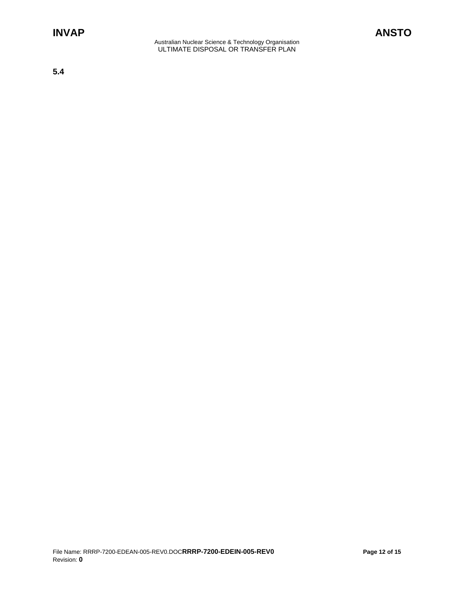**5.4**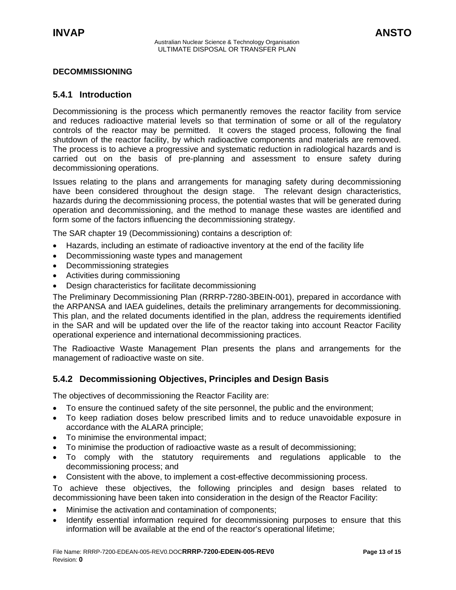## <span id="page-12-0"></span>**DECOMMISSIONING**

## **5.4.1 Introduction**

Decommissioning is the process which permanently removes the reactor facility from service and reduces radioactive material levels so that termination of some or all of the regulatory controls of the reactor may be permitted. It covers the staged process, following the final shutdown of the reactor facility, by which radioactive components and materials are removed. The process is to achieve a progressive and systematic reduction in radiological hazards and is carried out on the basis of pre-planning and assessment to ensure safety during decommissioning operations.

Issues relating to the plans and arrangements for managing safety during decommissioning have been considered throughout the design stage. The relevant design characteristics, hazards during the decommissioning process, the potential wastes that will be generated during operation and decommissioning, and the method to manage these wastes are identified and form some of the factors influencing the decommissioning strategy.

The SAR chapter 19 (Decommissioning) contains a description of:

- Hazards, including an estimate of radioactive inventory at the end of the facility life
- Decommissioning waste types and management
- Decommissioning strategies
- Activities during commissioning
- Design characteristics for facilitate decommissioning

The Preliminary Decommissioning Plan (RRRP-7280-3BEIN-001), prepared in accordance with the ARPANSA and IAEA guidelines, details the preliminary arrangements for decommissioning. This plan, and the related documents identified in the plan, address the requirements identified in the SAR and will be updated over the life of the reactor taking into account Reactor Facility operational experience and international decommissioning practices.

The Radioactive Waste Management Plan presents the plans and arrangements for the management of radioactive waste on site.

## **5.4.2 Decommissioning Objectives, Principles and Design Basis**

The objectives of decommissioning the Reactor Facility are:

- To ensure the continued safety of the site personnel, the public and the environment;
- To keep radiation doses below prescribed limits and to reduce unavoidable exposure in accordance with the ALARA principle;
- To minimise the environmental impact;
- To minimise the production of radioactive waste as a result of decommissioning;
- To comply with the statutory requirements and regulations applicable to the decommissioning process; and
- Consistent with the above, to implement a cost-effective decommissioning process.

To achieve these objectives, the following principles and design bases related to decommissioning have been taken into consideration in the design of the Reactor Facility:

- Minimise the activation and contamination of components;
- Identify essential information required for decommissioning purposes to ensure that this information will be available at the end of the reactor's operational lifetime;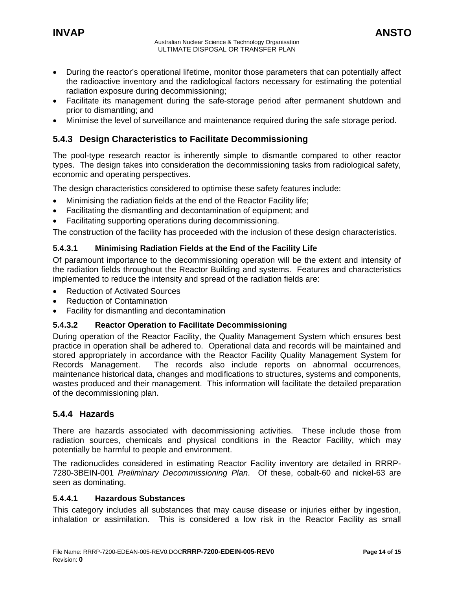- <span id="page-13-0"></span>• During the reactor's operational lifetime, monitor those parameters that can potentially affect the radioactive inventory and the radiological factors necessary for estimating the potential radiation exposure during decommissioning;
- Facilitate its management during the safe-storage period after permanent shutdown and prior to dismantling; and
- Minimise the level of surveillance and maintenance required during the safe storage period.

## **5.4.3 Design Characteristics to Facilitate Decommissioning**

The pool-type research reactor is inherently simple to dismantle compared to other reactor types. The design takes into consideration the decommissioning tasks from radiological safety, economic and operating perspectives.

The design characteristics considered to optimise these safety features include:

- Minimising the radiation fields at the end of the Reactor Facility life;
- Facilitating the dismantling and decontamination of equipment; and
- Facilitating supporting operations during decommissioning.

The construction of the facility has proceeded with the inclusion of these design characteristics.

## **5.4.3.1 Minimising Radiation Fields at the End of the Facility Life**

Of paramount importance to the decommissioning operation will be the extent and intensity of the radiation fields throughout the Reactor Building and systems. Features and characteristics implemented to reduce the intensity and spread of the radiation fields are:

- Reduction of Activated Sources
- Reduction of Contamination
- Facility for dismantling and decontamination

## **5.4.3.2 Reactor Operation to Facilitate Decommissioning**

During operation of the Reactor Facility, the Quality Management System which ensures best practice in operation shall be adhered to. Operational data and records will be maintained and stored appropriately in accordance with the Reactor Facility Quality Management System for Records Management. The records also include reports on abnormal occurrences, maintenance historical data, changes and modifications to structures, systems and components, wastes produced and their management. This information will facilitate the detailed preparation of the decommissioning plan.

## **5.4.4 Hazards**

There are hazards associated with decommissioning activities. These include those from radiation sources, chemicals and physical conditions in the Reactor Facility, which may potentially be harmful to people and environment.

The radionuclides considered in estimating Reactor Facility inventory are detailed in RRRP-7280-3BEIN-001 *Preliminary Decommissioning Plan*. Of these, cobalt-60 and nickel-63 are seen as dominating.

### **5.4.4.1 Hazardous Substances**

This category includes all substances that may cause disease or injuries either by ingestion, inhalation or assimilation. This is considered a low risk in the Reactor Facility as small